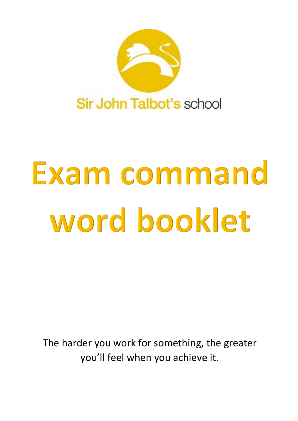

## Exam command word booklet

The harder you work for something, the greater you'll feel when you achieve it.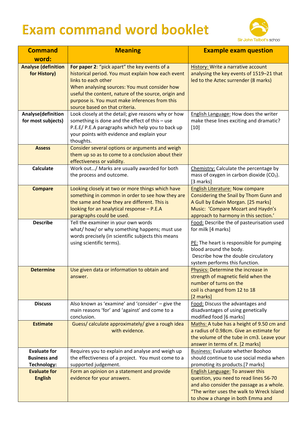## **Exam command word booklet**



| <b>Command</b>                                                   | <b>Meaning</b>                                                                                                                                                                                                                                                                                                          | <b>Example exam question</b>                                                                                                                                                                                     |
|------------------------------------------------------------------|-------------------------------------------------------------------------------------------------------------------------------------------------------------------------------------------------------------------------------------------------------------------------------------------------------------------------|------------------------------------------------------------------------------------------------------------------------------------------------------------------------------------------------------------------|
| word:                                                            |                                                                                                                                                                                                                                                                                                                         |                                                                                                                                                                                                                  |
| <b>Analyse (definition</b><br>for History)                       | For paper 2: "pick apart" the key events of a<br>historical period. You must explain how each event<br>links to each other<br>When analysing sources: You must consider how<br>useful the content, nature of the source, origin and<br>purpose is. You must make inferences from this<br>source based on that criteria. | <b>History: Write a narrative account</b><br>analysing the key events of 1519-21 that<br>led to the Aztec surrender (8 marks)                                                                                    |
| Analyse(definition<br>for most subjects)                         | Look closely at the detail; give reasons why or how<br>something is done and the effect of this - use<br>P.E.E/ P.E.A paragraphs which help you to back up<br>your points with evidence and explain your<br>thoughts.                                                                                                   | English Language: How does the writer<br>make these lines exciting and dramatic?<br>$[10]$                                                                                                                       |
| <b>Assess</b>                                                    | Consider several options or arguments and weigh<br>them up so as to come to a conclusion about their<br>effectiveness or validity.                                                                                                                                                                                      |                                                                                                                                                                                                                  |
| <b>Calculate</b>                                                 | Work out/ Marks are usually awarded for both<br>the process and outcome.                                                                                                                                                                                                                                                | Chemistry: Calculate the percentage by<br>mass of oxygen in carbon dioxide $(CO2)$ .<br>[3 marks]                                                                                                                |
| <b>Compare</b>                                                   | Looking closely at two or more things which have<br>something in common in order to see how they are<br>the same and how they are different. This is<br>looking for an analytical response - P.E.A<br>paragraphs could be used.                                                                                         | <b>English Literature: Now compare</b><br>Considering the Snail by Thom Gunn and<br>A Gull by Edwin Morgan. [25 marks]<br>Music: 'Compare Mozart and Haydn's<br>approach to harmony in this section.'            |
| <b>Describe</b>                                                  | Tell the examiner in your own words<br>what/how/ or why something happens; must use<br>words precisely (in scientific subjects this means<br>using scientific terms).                                                                                                                                                   | Food: Describe the of pasteurisation used<br>for milk [4 marks]<br>PE: The heart is responsible for pumping<br>blood around the body.<br>Describe how the double circulatory<br>system performs this function.   |
| <b>Determine</b>                                                 | Use given data or information to obtain and<br>answer.                                                                                                                                                                                                                                                                  | Physics: Determine the increase in<br>strength of magnetic field when the<br>number of turns on the<br>coil is changed from 12 to 18<br>[2 marks]                                                                |
| <b>Discuss</b>                                                   | Also known as 'examine' and 'consider' - give the<br>main reasons 'for' and 'against' and come to a<br>conclusion.                                                                                                                                                                                                      | Food: Discuss the advantages and<br>disadvantages of using genetically<br>modified food [6 marks]                                                                                                                |
| <b>Estimate</b>                                                  | Guess/ calculate approximately/ give a rough idea<br>with evidence.                                                                                                                                                                                                                                                     | Maths: A tube has a height of 9.50 cm and<br>a radius of 0.98cm. Give an estimate for<br>the volume of the tube in cm3. Leave your<br>answer in terms of $\pi$ . [2 marks]                                       |
| <b>Evaluate for</b><br><b>Business and</b><br><b>Technology:</b> | Requires you to explain and analyse and weigh up<br>the effectiveness of a project. You must come to a<br>supported judgement.                                                                                                                                                                                          | <b>Business: Evaluate whether Boohoo</b><br>should continue to use social media when<br>promoting its products.[7 marks]                                                                                         |
| <b>Evaluate for</b><br><b>English</b>                            | Form an opinion on a statement and provide<br>evidence for your answers.                                                                                                                                                                                                                                                | <b>English Language: To answer this</b><br>question, you need to read lines 56-70<br>and also consider the passage as a whole.<br>"The writer uses the walk to Wreck Island<br>to show a change in both Emma and |